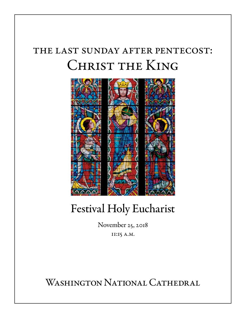# the last sunday after pentecost: Christ the King



# Festival Holy Eucharist

November 25, 2018 11:15 a.m.

WASHINGTON NATIONAL CATHEDRAL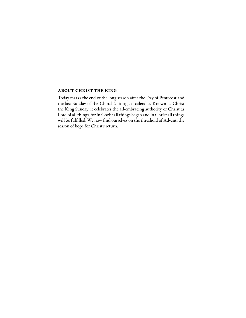#### about christ the king

Today marks the end of the long season after the Day of Pentecost and the last Sunday of the Church's liturgical calendar. Known as Christ the King Sunday, it celebrates the all-embracing authority of Christ as Lord of all things, for in Christ all things began and in Christ all things will be fulfilled. We now find ourselves on the threshold of Advent, the season of hope for Christ's return.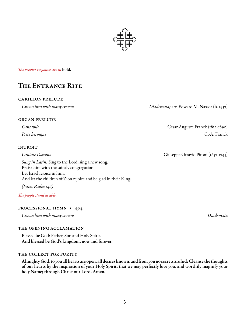*The people's responses are in* bold.

# The Entrance Rite

#### carillon prelude

*Crown him with many crowns Diademata;* arr. Edward M. Nassor (b. 1957)

#### organ prelude

#### **INTROIT**

*Sung in Latin.* Sing to the Lord, sing a new song. Praise him with the saintly congregation. Let Israel rejoice in him, And let the children of Zion rejoice and be glad in their King.

*(Para. Psalm 148)*

*The people stand as able.*

#### processional hymn • 494

*Crown him with many crowns Diademata*

#### the opening acclamation

Blessed be God: Father, Son and Holy Spirit. And blessed be God's kingdom, now and forever.

#### the collect for purity

Almighty God, to you all hearts are open, all desires known, and from you no secrets are hid: Cleanse the thoughts of our hearts by the inspiration of your Holy Spirit, that we may perfectly love you, and worthily magnify your holy Name; through Christ our Lord. Amen.

*Cantabile* Cesar-Auguste Franck (1822-1890) *Pièce heroïque* C.-A. Franck

*Cantate Domino* Giuseppe Ottavio Pitoni (1657-1743)

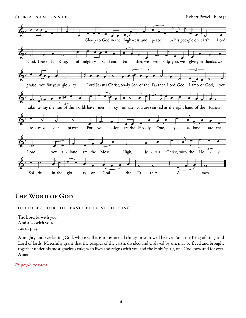GLORIA IN EXCELSIS DEO Robert Powell (b. 1932)



## The Word of God

#### the collect for the feast of christ the king

The Lord be with you. And also with you. Let us pray.

Almighty and everlasting God, whose will it is to restore all things in your well-beloved Son, the King of kings and Lord of lords: Mercifully grant that the peoples of the earth, divided and enslaved by sin, may be freed and brought together under his most gracious rule; who lives and reigns with you and the Holy Spirit, one God, now and for ever. Amen.

*The people are seated.*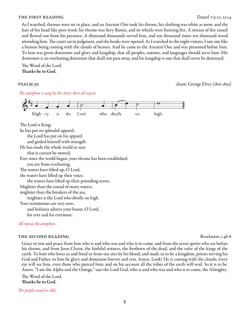#### THE FIRST READING Daniel 7:9-10, 13-14

As I watched, thrones were set in place, and an Ancient One took his throne, his clothing was white as snow, and the hair of his head like pure wool; his throne was fiery flames, and its wheels were burning fire. A stream of fire issued and flowed out from his presence. A thousand thousands served him, and ten thousand times ten thousand stood attending him. The court sat in judgment, and the books were opened. As I watched in the night visions, I saw one like a human being coming with the clouds of heaven. And he came to the Ancient One and was presented before him. To him was given dominion and glory and kingship, that all peoples, nations, and languages should serve him. His dominion is an everlasting dominion that shall not pass away, and his kingship is one that shall never be destroyed.

The Word of the Lord. Thanks be to God.

psalm 93 chant: George Elvey (1816-1893)

 *The antiphon is sung by the choir; then all repeat.* 



#### *All repeat the antiphon.*

#### THE SECOND READING REVERSION CONTROL IS A REVERSE REVERSION 1:4b-8

Grace to you and peace from him who is and who was and who is to come, and from the seven spirits who are before his throne, and from Jesus Christ, the faithful witness, the firstborn of the dead, and the ruler of the kings of the earth. To him who loves us and freed us from our sins by his blood, and made us to be a kingdom, priests serving his God and Father, to him be glory and dominion forever and ever. Amen. Look! He is coming with the clouds; every eye will see him, even those who pierced him; and on his account all the tribes of the earth will wail. So it is to be. Amen. "I am the Alpha and the Omega," says the Lord God, who is and who was and who is to come, the Almighty.

The Word of the Lord. Thanks be to God.

*The people stand as able.*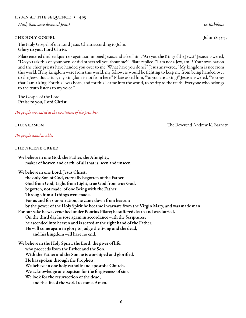#### hymn at the sequence • 495

*Hail, thou once despised Jesus! In Babilone*

#### THE HOLY GOSPEL John 18:33-37

The Holy Gospel of our Lord Jesus Christ according to John. Glory to you, Lord Christ.

Pilate entered the headquarters again, summoned Jesus, and asked him, "Are you the King of the Jews?" Jesus answered, "Do you ask this on your own, or did others tell you about me?" Pilate replied, "I am not a Jew, am I? Your own nation and the chief priests have handed you over to me. What have you done?" Jesus answered, "My kingdom is not from this world. If my kingdom were from this world, my followers would be fighting to keep me from being handed over to the Jews. But as it is, my kingdom is not from here." Pilate asked him, "So you are a king?" Jesus answered, "You say that I am a king. For this I was born, and for this I came into the world, to testify to the truth. Everyone who belongs to the truth listens to my voice."

The Gospel of the Lord. Praise to you, Lord Christ.

*The people are seated at the invitation of the preacher.*

*The people stand as able.*

#### the nicene creed

We believe in one God, the Father, the Almighty, maker of heaven and earth, of all that is, seen and unseen.

We believe in one Lord, Jesus Christ,

the only Son of God, eternally begotten of the Father, God from God, Light from Light, true God from true God, begotten, not made, of one Being with the Father. Through him all things were made. For us and for our salvation, he came down from heaven: by the power of the Holy Spirit he became incarnate from the Virgin Mary, and was made man. For our sake he was crucified under Pontius Pilate; he suffered death and was buried. On the third day he rose again in accordance with the Scriptures; he ascended into heaven and is seated at the right hand of the Father. He will come again in glory to judge the living and the dead, and his kingdom will have no end. We believe in the Holy Spirit, the Lord, the giver of life, who proceeds from the Father and the Son. With the Father and the Son he is worshiped and glorified. He has spoken through the Prophets. We believe in one holy catholic and apostolic Church.

We acknowledge one baptism for the forgiveness of sins.

We look for the resurrection of the dead,

and the life of the world to come. Amen.

the sermon The Reverend Andrew K. Barnett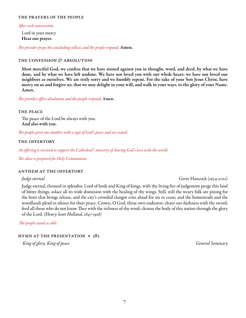#### the prayers of the people

#### *After each intercession,*

Lord in your mercy Hear our prayer.

*The presider prays the concluding collect, and the people respond,* Amen.

#### the confession *&* absolution

Most merciful God, we confess that we have sinned against you in thought, word, and deed, by what we have done, and by what we have left undone. We have not loved you with our whole heart; we have not loved our neighbors as ourselves. We are truly sorry and we humbly repent. For the sake of your Son Jesus Christ, have mercy on us and forgive us; that we may delight in your will, and walk in your ways, to the glory of your Name. Amen.

*The presider offers absolution and the people respond,* Amen.

#### the peace

The peace of the Lord be always with you. And also with you.

*The people greet one another with a sign of God's peace and are seated.*

#### the offertory

*An offering is received to support the Cathedral's ministry of sharing God's love with the world.*

*The altar is prepared for Holy Communion.*

#### anthem at the offertory

*Judge eternal* Gerre Hancock (1934-2012)

Judge eternal, throned in splendor, Lord of lords and King of kings, with thy living fire of judgement purge this land of bitter things; solace all its wide dominion with the healing of thy wings. Still, still the weary folk are pining for the hour that brings release, and the city's crowded clangor cries aloud for sin to cease; and the homesteads and the woodlands plead in silence for their peace. Crown, O God, thine own endeavor; cleave our darkness with thy sword; feed all those who do not know Thee with the richness of thy word; cleanse the body of this nation through the glory of the Lord. *(Henry Scott Holland, 1847-1918)*

*The people stand as able.*

hymn at the presentation • 382

 *King of glory, King of peace General Seminary*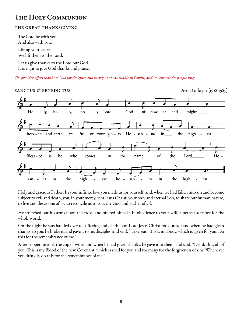# The Holy Communion

### the great thanksgiving

The Lord be with you. And also with you.

Lift up your hearts. We lift them to the Lord.

Let us give thanks to the Lord our God. It is right to give God thanks and praise.

*The presider offers thanks to God for the grace and mercy made available in Christ, and in response the people sing:*



Holy and gracious Father: In your infinite love you made us for yourself, and, when we had fallen into sin and become subject to evil and death, you, in your mercy, sent Jesus Christ, your only and eternal Son, to share our human nature, to live and die as one of us, to reconcile us to you, the God and Father of all.

He stretched out his arms upon the cross, and offered himself, in obedience to your will, a perfect sacrifice for the whole world.

On the night he was handed over to suffering and death, our Lord Jesus Christ took bread; and when he had given thanks to you, he broke it, and gave it to his disciples, and said, "Take, eat: This is my Body, which is given for you. Do this for the remembrance of me."

After supper he took the cup of wine; and when he had given thanks, he gave it to them, and said, "Drink this, all of you: This is my Blood of the new Covenant, which is shed for you and for many for the forgiveness of sins. Whenever you drink it, do this for the remembrance of me."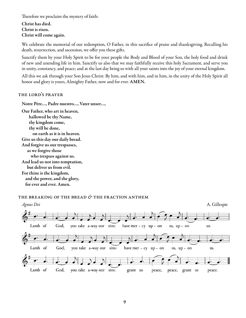Therefore we proclaim the mystery of faith:

Christ has died. Christ is risen. Christ will come again.

We celebrate the memorial of our redemption, O Father, in this sacrifice of praise and thanksgiving. Recalling his death, resurrection, and ascension, we offer you these gifts.

Sanctify them by your Holy Spirit to be for your people the Body and Blood of your Son, the holy food and drink of new and unending life in him. Sanctify us also that we may faithfully receive this holy Sacrament, and serve you in unity, constancy, and peace; and at the last day bring us with all your saints into the joy of your eternal kingdom.

All this we ask through your Son Jesus Christ: By him, and with him, and in him, in the unity of the Holy Spirit all honor and glory is yours, Almighty Father, now and for ever. AMEN.

#### the lord's prayer

Notre Père…, Padre nuestro…, Vater unser…,

Our Father, who art in heaven, hallowed be thy Name, thy kingdom come, thy will be done, on earth as it is in heaven. Give us this day our daily bread. And forgive us our trespasses, as we forgive those who trespass against us. And lead us not into temptation, but deliver us from evil. For thine is the kingdom, and the power, and the glory, for ever and ever. Amen.

## the breaking of the bread *&* the fraction anthem

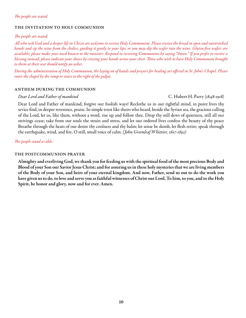#### *The people are seated.*

#### the invitation to holy communion

#### *The people are seated.*

*All who seek God and a deeper life in Christ are welcome to receive Holy Communion. Please receive the bread in open and outstretched hands and sip the wine from the chalice, guiding it gently to your lips; or you may dip the wafer into the wine. Gluten-free wafers are available; please make your need known to the minister. Respond to receiving Communion by saying "Amen." If you prefer to receive a blessing instead, please indicate your choice by crossing your hands across your chest. Those who wish to have Holy Communion brought to them at their seat should notify an usher.* 

*During the administration of Holy Communion, the laying on of hands and prayers for healing are offered in St. John's Chapel. Please enter the chapel by the ramp or stairs to the right of the pulpit.*

#### anthem during the communion

#### *Dear Lord and Father of mankind* C. Hubert H. Parry (1848-1918)

Dear Lord and Father of mankind, forgive our foolish ways! Reclothe us in our rightful mind, in purer lives thy sevice find, in deeper reverence, praise. In simple trust like theirs who heard, beside the Syrian sea, the gracious calling of the Lord, let us, like them, without a word, rise up and follow thee. Drop thy still dews of quietness, still all our strivings cease; take from our souls the strain and stress, and let our ordered lives confess the beauty of thy peace Breathe through the heats of our desire thy coolness and thy balm; let sense be dumb, let flesh retire; speak through the earthquake, wind, and fire, O still, small voice of calm. *(John Greenleaf Whittier, 1807-1892)*

*The people stand as able.*

#### the postcommunion prayer

Almighty and everliving God, we thank you for feeding us with the spiritual food of the most precious Body and Blood of your Son our Savior Jesus Christ; and for assuring us in these holy mysteries that we are living members of the Body of your Son, and heirs of your eternal kingdom. And now, Father, send us out to do the work you have given us to do, to love and serve you as faithful witnesses of Christ our Lord. To him, to you, and to the Holy Spirit, be honor and glory, now and for ever. Amen.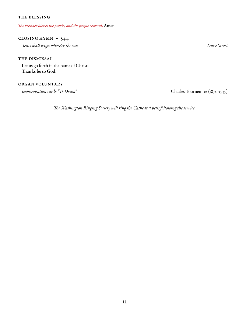#### the blessing

*The presider blesses the people, and the people respond,* Amen*.*

## closing hymn • 544

 *Jesus shall reign where'er the sun Duke Street*

THE DISMISSAL Let us go forth in the name of Christ. Thanks be to God.

#### organ voluntary

*Improvisation sur le "Te Deum"* Charles Tournemire (1870-1939)

*The Washington Ringing Society will ring the Cathedral bells following the service.*